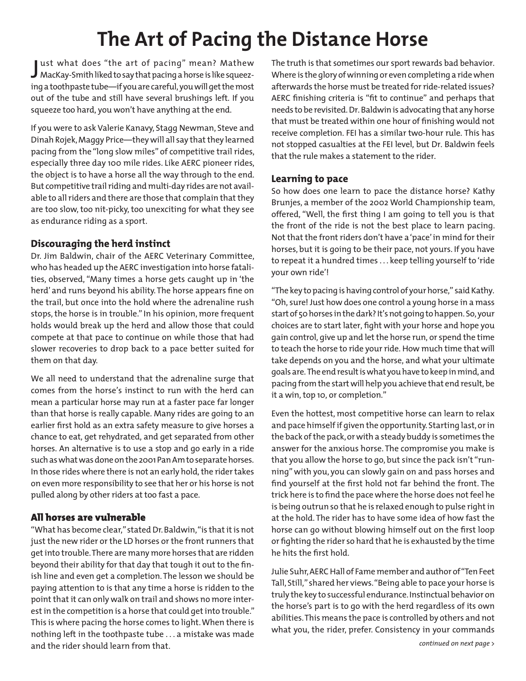# **The Art of Pacing the Distance Horse**

J MacKay-Smith liked to say that pacing a horse is like squeezust what does "the art of pacing" mean? Mathew ing a toothpaste tube—if you are careful, you will get the most out of the tube and still have several brushings left. If you squeeze too hard, you won't have anything at the end.

If you were to ask Valerie Kanavy, Stagg Newman, Steve and Dinah Rojek, Maggy Price—they will all say that they learned pacing from the "long slow miles" of competitive trail rides, especially three day 100 mile rides. Like AERC pioneer rides, the object is to have a horse all the way through to the end. But competitive trail riding and multi-day rides are not available to all riders and there are those that complain that they are too slow, too nit-picky, too unexciting for what they see as endurance riding as a sport.

#### **Discouraging the herd instinct**

Dr. Jim Baldwin, chair of the AERC Veterinary Committee, who has headed up the AERC investigation into horse fatalities, observed, "Many times a horse gets caught up in 'the herd' and runs beyond his ability. The horse appears fine on the trail, but once into the hold where the adrenaline rush stops, the horse is in trouble." In his opinion, more frequent holds would break up the herd and allow those that could compete at that pace to continue on while those that had slower recoveries to drop back to a pace better suited for them on that day.

We all need to understand that the adrenaline surge that comes from the horse's instinct to run with the herd can mean a particular horse may run at a faster pace far longer than that horse is really capable. Many rides are going to an earlier first hold as an extra safety measure to give horses a chance to eat, get rehydrated, and get separated from other horses. An alternative is to use a stop and go early in a ride such as what was done on the 2001 Pan Am to separate horses. In those rides where there is not an early hold, the rider takes on even more responsibility to see that her or his horse is not pulled along by other riders at too fast a pace.

## All horses are vulnerable

"What has become clear," stated Dr. Baldwin, "is that it is not just the new rider or the LD horses or the front runners that get into trouble. There are many more horses that are ridden beyond their ability for that day that tough it out to the finish line and even get a completion. The lesson we should be paying attention to is that any time a horse is ridden to the point that it can only walk on trail and shows no more interest in the competition is a horse that could get into trouble." This is where pacing the horse comes to light. When there is nothing left in the toothpaste tube . . . a mistake was made and the rider should learn from that.

The truth is that sometimes our sport rewards bad behavior. Where is the glory of winning or even completing a ride when afterwards the horse must be treated for ride-related issues? AERC finishing criteria is "fit to continue" and perhaps that needs to be revisited. Dr. Baldwin is advocating that any horse that must be treated within one hour of finishing would not receive completion. FEI has a similar two-hour rule. This has not stopped casualties at the FEI level, but Dr. Baldwin feels that the rule makes a statement to the rider.

## **Learning to pace**

So how does one learn to pace the distance horse? Kathy Brunjes, a member of the 2002 World Championship team, offered, "Well, the first thing I am going to tell you is that the front of the ride is not the best place to learn pacing. Not that the front riders don't have a 'pace' in mind for their horses, but it is going to be their pace, not yours. If you have to repeat it a hundred times . . . keep telling yourself to 'ride your own ride'!

"The key to pacing is having control of your horse," said Kathy. "Oh, sure! Just how does one control a young horse in a mass start of 50 horses in the dark? It's not going to happen. So, your choices are to start later, fight with your horse and hope you gain control, give up and let the horse run, or spend the time to teach the horse to ride your ride. How much time that will take depends on you and the horse, and what your ultimate goals are. The end result is what you have to keep in mind, and pacing from the start will help you achieve that end result, be it a win, top 10, or completion."

Even the hottest, most competitive horse can learn to relax and pace himself if given the opportunity. Starting last, or in the back of the pack, or with a steady buddy is sometimes the answer for the anxious horse. The compromise you make is that you allow the horse to go, but since the pack isn't "running" with you, you can slowly gain on and pass horses and find yourself at the first hold not far behind the front. The trick here is to find the pace where the horse does not feel he is being outrun so that he is relaxed enough to pulse right in at the hold. The rider has to have some idea of how fast the horse can go without blowing himself out on the first loop or fighting the rider so hard that he is exhausted by the time he hits the first hold.

Julie Suhr, AERC Hall of Fame member and author of "Ten Feet Tall, Still," shared her views. "Being able to pace your horse is truly the key to successful endurance. Instinctual behavior on the horse's part is to go with the herd regardless of its own abilities. This means the pace is controlled by others and not what you, the rider, prefer. Consistency in your commands